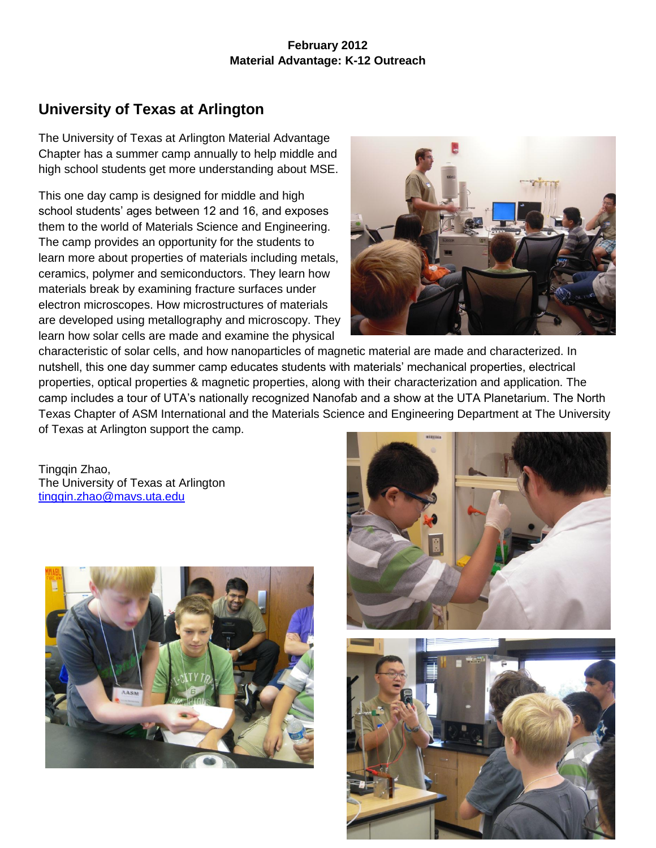### **February 2012 Material Advantage: K-12 Outreach**

# **University of Texas at Arlington**

The University of Texas at Arlington Material Advantage Chapter has a summer camp annually to help middle and high school students get more understanding about MSE.

This one day camp is designed for middle and high school students' ages between 12 and 16, and exposes them to the world of Materials Science and Engineering. The camp provides an opportunity for the students to learn more about properties of materials including metals, ceramics, polymer and semiconductors. They learn how materials break by examining fracture surfaces under electron microscopes. How microstructures of materials are developed using metallography and microscopy. They learn how solar cells are made and examine the physical



characteristic of solar cells, and how nanoparticles of magnetic material are made and characterized. In nutshell, this one day summer camp educates students with materials' mechanical properties, electrical properties, optical properties & magnetic properties, along with their characterization and application. The camp includes a tour of UTA's nationally recognized Nanofab and a show at the UTA Planetarium. The North Texas Chapter of ASM International and the Materials Science and Engineering Department at The University of Texas at Arlington support the camp.

Tingqin Zhao, The University of Texas at Arlington [tingqin.zhao@mavs.uta.edu](mailto:tingqin.zhao@mavs.uta.edu)





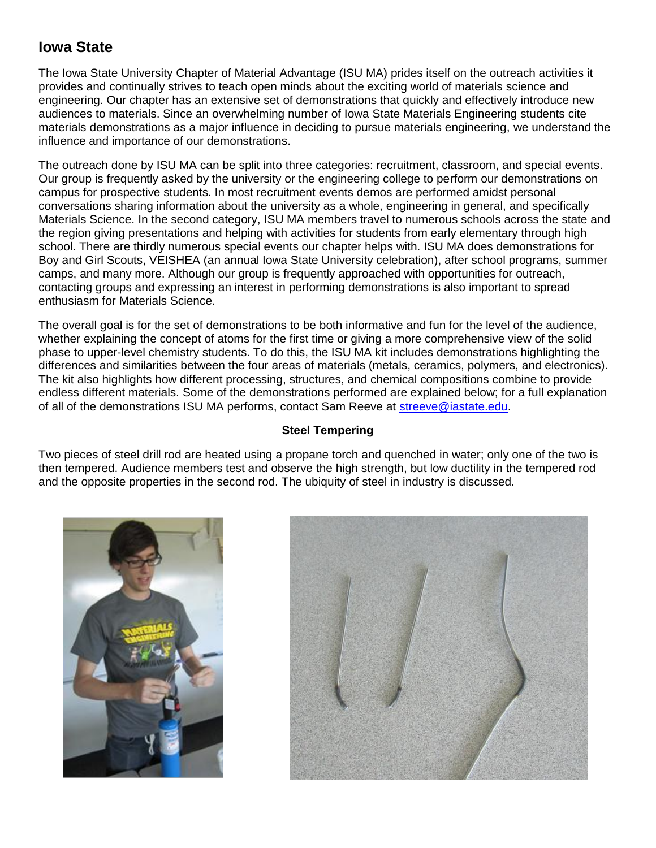## **Iowa State**

The Iowa State University Chapter of Material Advantage (ISU MA) prides itself on the outreach activities it provides and continually strives to teach open minds about the exciting world of materials science and engineering. Our chapter has an extensive set of demonstrations that quickly and effectively introduce new audiences to materials. Since an overwhelming number of Iowa State Materials Engineering students cite materials demonstrations as a major influence in deciding to pursue materials engineering, we understand the influence and importance of our demonstrations.

The outreach done by ISU MA can be split into three categories: recruitment, classroom, and special events. Our group is frequently asked by the university or the engineering college to perform our demonstrations on campus for prospective students. In most recruitment events demos are performed amidst personal conversations sharing information about the university as a whole, engineering in general, and specifically Materials Science. In the second category, ISU MA members travel to numerous schools across the state and the region giving presentations and helping with activities for students from early elementary through high school. There are thirdly numerous special events our chapter helps with. ISU MA does demonstrations for Boy and Girl Scouts, VEISHEA (an annual Iowa State University celebration), after school programs, summer camps, and many more. Although our group is frequently approached with opportunities for outreach, contacting groups and expressing an interest in performing demonstrations is also important to spread enthusiasm for Materials Science.

The overall goal is for the set of demonstrations to be both informative and fun for the level of the audience, whether explaining the concept of atoms for the first time or giving a more comprehensive view of the solid phase to upper-level chemistry students. To do this, the ISU MA kit includes demonstrations highlighting the differences and similarities between the four areas of materials (metals, ceramics, polymers, and electronics). The kit also highlights how different processing, structures, and chemical compositions combine to provide endless different materials. Some of the demonstrations performed are explained below; for a full explanation of all of the demonstrations ISU MA performs, contact Sam Reeve at [streeve@iastate.edu.](mailto:streeve@iastate.edu)

### **Steel Tempering**

Two pieces of steel drill rod are heated using a propane torch and quenched in water; only one of the two is then tempered. Audience members test and observe the high strength, but low ductility in the tempered rod and the opposite properties in the second rod. The ubiquity of steel in industry is discussed.